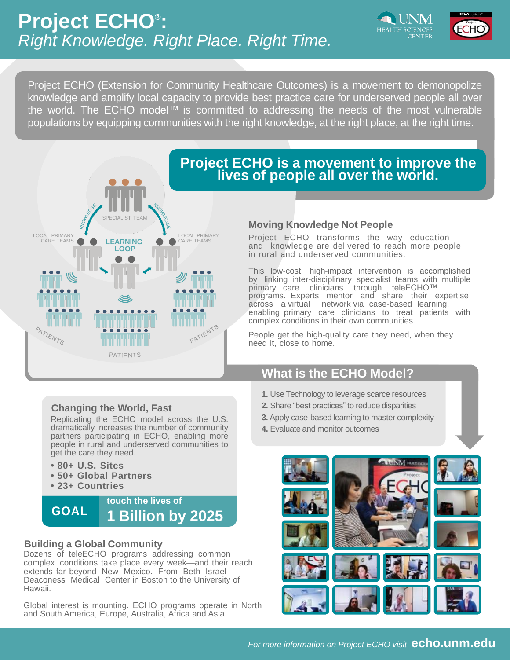

Project ECHO (Extension for Community Healthcare Outcomes) is a movement to demonopolize knowledge and amplify local capacity to provide best practice care for underserved people all over the world. The ECHO model™ is committed to addressing the needs of the most vulnerable populations by equipping communities with the right knowledge, at the right place, at the right time.



## **Project ECHO is a movement to improve the lives of people all over the world.**

## **Moving Knowledge Not People**

Project ECHO transforms the way education and knowledge are delivered to reach more people in rural and underserved communities.

This low-cost, high-impact intervention is accomplished by linking inter-disciplinary specialist teams with multiple primary care clinicians through teleECHO™ programs. Experts mentor and share their expertise across a virtual network via case-based learning, enabling primary care clinicians to treat patients with complex conditions in their own communities.

People get the high-quality care they need, when they need it, close to home.

# **What is the ECHO Model?**

- **1.** Use Technology to leverage scarce resources
- **2.** Share "best practices" to reduce disparities
- **3.** Apply case-based learning to master complexity
- **4.** Evaluate and monitor outcomes



## **Changing the World, Fast**

Replicating the ECHO model across the U.S. dramatically increases the number of community partners participating in ECHO, enabling more people in rural and underserved communities to get the care they need.

- **• 80+ U.S. Sites**
- **• 50+ Global Partners**
- **• 23+ Countries**



## **Building a Global Community**

Dozens of teleECHO programs addressing common complex conditions take place every week—and their reach extends far beyond New Mexico. From Beth Israel Deaconess Medical Center in Boston to the University of Hawaii.

Global interest is mounting. ECHO programs operate in North and South America, Europe, Australia, Africa and Asia.